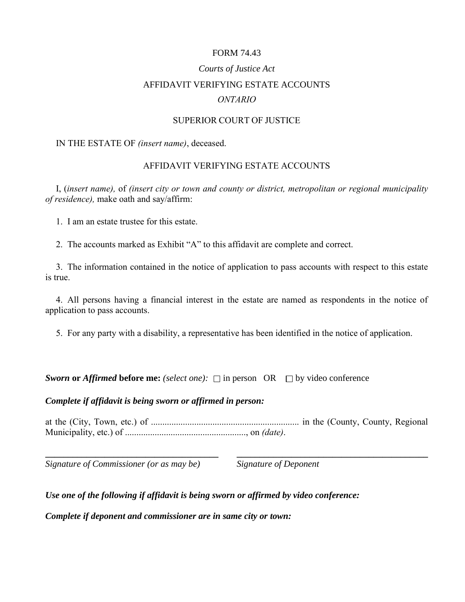## FORM 74.43

# *Courts of Justice Act* AFFIDAVIT VERIFYING ESTATE ACCOUNTS *ONTARIO*

#### SUPERIOR COURT OF JUSTICE

#### IN THE ESTATE OF *(insert name)*, deceased.

## AFFIDAVIT VERIFYING ESTATE ACCOUNTS

I, (*insert name),* of *(insert city or town and county or district, metropolitan or regional municipality of residence),* make oath and say/affirm:

1. I am an estate trustee for this estate.

2. The accounts marked as Exhibit "A" to this affidavit are complete and correct.

3. The information contained in the notice of application to pass accounts with respect to this estate is true.

4. All persons having a financial interest in the estate are named as respondents in the notice of application to pass accounts.

5. For any party with a disability, a representative has been identified in the notice of application.

*Sworn* or *Affirmed* before me: (select one):  $\Box$  in person OR  $\Box$  by video conference

#### *Complete if affidavit is being sworn or affirmed in person:*

at the (City, Town, etc.) of ................................................................. in the (County, County, Regional Municipality, etc.) of ....................................................., on *(date)*.

**\_\_\_\_\_\_\_\_\_\_\_\_\_\_\_\_\_\_\_\_\_\_\_\_\_\_\_\_\_\_\_\_\_\_\_\_\_\_ \_\_\_\_\_\_\_\_\_\_\_\_\_\_\_\_\_\_\_\_\_\_\_\_\_\_\_\_\_\_\_\_\_\_\_\_\_\_\_\_\_\_** 

*Signature of Commissioner (or as may be) Signature of Deponent* 

## *Use one of the following if affidavit is being sworn or affirmed by video conference:*

*Complete if deponent and commissioner are in same city or town:*